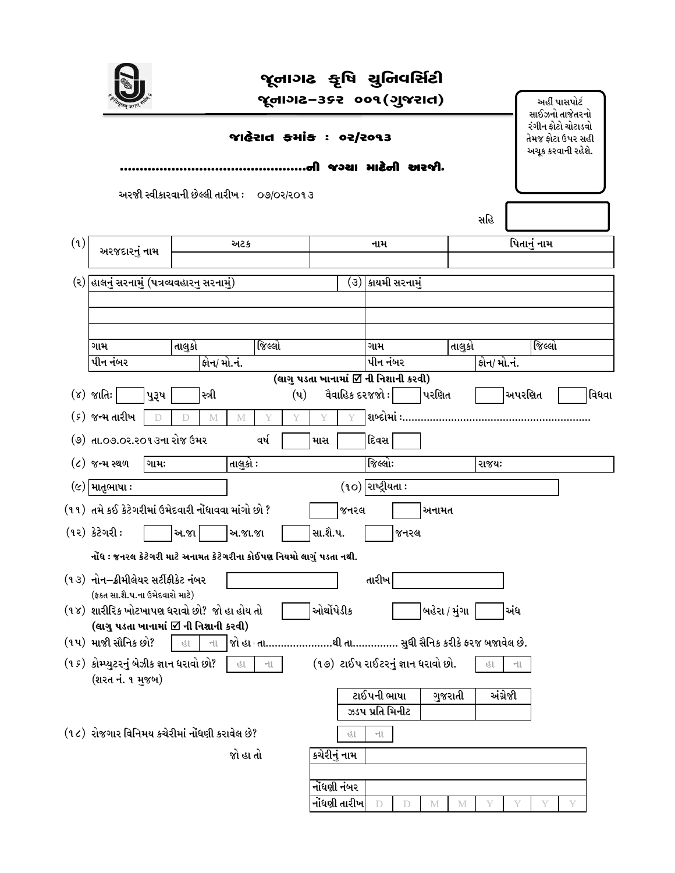|     |                                                                                                                                                                                        |                                            |        |             |          |                   |                | d١         | જૂનાગઢ કૃષિ ચુનિવર્સિટી<br>જૂનાગઢ–૩૬૨ ૦૦૧(ગુજરાત)<br>જાહેરાત કમાંક : ૦૨/૨૦૧૩<br>જગ્યા માટેની અરજીે. |                                |      |               |         |       |                 |             | અહીં પાસપોર્ટ<br>સાઈઝનો તાજેતરનો<br>રંગીન ફોટો ચોટાડવો<br>તેમજ ફોટા ઉપર સહી<br>અચૂક કરવાની રહેશે. |       |
|-----|----------------------------------------------------------------------------------------------------------------------------------------------------------------------------------------|--------------------------------------------|--------|-------------|----------|-------------------|----------------|------------|-----------------------------------------------------------------------------------------------------|--------------------------------|------|---------------|---------|-------|-----------------|-------------|---------------------------------------------------------------------------------------------------|-------|
|     |                                                                                                                                                                                        | અરજી સ્વીકારવાની છેલ્લી તારીખ : ૦૭/૦૨/૨૦૧૩ |        |             |          |                   |                |            |                                                                                                     |                                |      |               |         | સહિ   |                 |             |                                                                                                   |       |
| (9) | અરજદારનું નામ                                                                                                                                                                          |                                            |        |             | અટક      |                   |                |            |                                                                                                     | નામ                            |      |               |         |       |                 | પિતાનું નામ |                                                                                                   |       |
|     | (૨) હાલનું સરનામું (પત્રવ્યવહારનુ સરનામું)                                                                                                                                             |                                            |        |             |          | (૩) કાયમી સરનામું |                |            |                                                                                                     |                                |      |               |         |       |                 |             |                                                                                                   |       |
|     | ગામ<br>પીન નંબર                                                                                                                                                                        |                                            | તાલુકો | ફોન/ મો.નં. |          | જિલ્લો            |                |            |                                                                                                     | ગામ<br>પીન નંબર                |      |               | તાલુકો  |       | ફોન/ મો.નં.     | જિલ્લો      |                                                                                                   |       |
|     | (૪) જાતિઃ <mark> </mark><br>(૬) જન્મ તારીખ                                                                                                                                             | પુરૂષ                                      |        | સ્ત્રી<br>M | М        |                   | $(\mathbf{u})$ |            | (લાગુ પડતા ખાનામાં ⊠ ની નિશાની કરવી)<br>વૈવાહિક દરજજો :   પરણિત                                     |                                |      |               |         |       |                 | અપરણિત      |                                                                                                   | વિધવા |
|     | (૭) તા.૦૭.૦ર.૨૦૧૩ના રોજ ઉમર                                                                                                                                                            |                                            |        |             |          | વર્ષ              |                | માસ        |                                                                                                     | દિવસ                           |      |               |         |       |                 |             |                                                                                                   |       |
|     | $($ ૮) જન્મ સ્થળ                                                                                                                                                                       | ગામઃ                                       |        |             | તાલુકો ઃ |                   |                |            |                                                                                                     | જિલ્લોઃ                        |      |               |         | રાજયઃ |                 |             |                                                                                                   |       |
|     | $(c)$ માતૃભાષા :<br>(૧૧)  તમે કઈ કેટેગરીમાં ઉમેદવારી નોંધાવવા માંગો છો ?<br>$(92)$ કેટેગરી:<br>નોંધ : જનરલ કેટેગરી માટે અનામત કેટેગરીના કોઈપણ નિયમો લાગું પડતા નથી.                    |                                            | અ.જા   |             | અ.જા.જા  |                   |                | સા.શૈ.પ.   | જનરલ                                                                                                | $(10)$ રાષ્ટ્રીયતા:            | જનરલ | અનામત         |         |       |                 |             |                                                                                                   |       |
|     | (૧૩) નોન–ક્રીમીલેયર સર્ટીફીકેટ નંબર<br>(ફકત સા.શે.પ.ના ઉમેદવારો માટે)<br>(૧૪)  શારીરિક ખોટખાપણ ધરાવો છો?  જો હા હોય તો<br>(લાગુ પડતા ખાનામાં ⊠ે ની નિશાની કરવી)<br>(૧૫) માજી સૌનિક છો? |                                            | હા     | HU.         |          |                   |                | ઓર્થોપેડીક | જો હા તાથી તા સુધી સૈનિક કરીકે ફરજ બજાવેલ છે.                                                       | તારીખ                          |      | બહેરા / મુંગા |         |       | અંધ             |             |                                                                                                   |       |
|     | (૧૬)  કોમ્પ્યુટરનું બેઝીક જ્ઞાન ધરાવો છો?<br>(શરત નં. ૧ મુજબ)                                                                                                                          |                                            |        |             | ाउ       | $-11$             |                |            | (૧૭) ટાઈપ રાઈટરનું જ્ઞાન ધરાવો છો.                                                                  | ટાઈપની ભાષા<br>ઝડપ પ્રતિ મિનીટ |      |               | ગુજરાતી | 3.L   | ના.<br>અંગ્રેજી |             |                                                                                                   |       |
|     | (૧૮)  રોજગાર વિનિમય કચેરીમાં નોંધણી કરાવેલ છે?                                                                                                                                         |                                            |        |             | જો હા તો |                   |                |            | હા<br>કચેરીનું નામ<br>નોંધણી નંબર<br>નોંધણી તારીખ                                                   | ના<br>D                        | D    | М             | M       |       |                 |             |                                                                                                   |       |